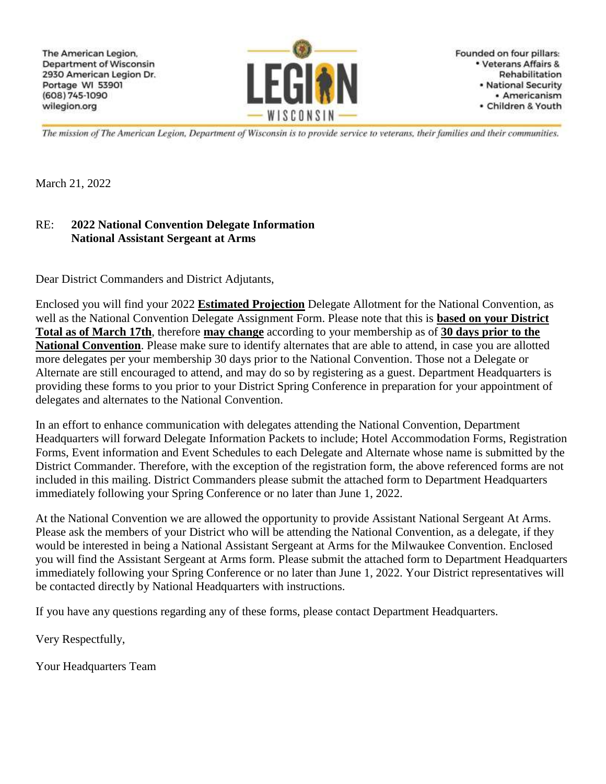

Founded on four pillars: • Veterans Affairs & Rehabilitation • National Security · Americanism · Children & Youth

The mission of The American Legion, Department of Wisconsin is to provide service to veterans, their families and their communities.

March 21, 2022

#### RE: **2022 National Convention Delegate Information National Assistant Sergeant at Arms**

Dear District Commanders and District Adjutants,

Enclosed you will find your 2022 **Estimated Projection** Delegate Allotment for the National Convention, as well as the National Convention Delegate Assignment Form. Please note that this is **based on your District Total as of March 17th**, therefore **may change** according to your membership as of **30 days prior to the National Convention**. Please make sure to identify alternates that are able to attend, in case you are allotted more delegates per your membership 30 days prior to the National Convention. Those not a Delegate or Alternate are still encouraged to attend, and may do so by registering as a guest. Department Headquarters is providing these forms to you prior to your District Spring Conference in preparation for your appointment of delegates and alternates to the National Convention.

In an effort to enhance communication with delegates attending the National Convention, Department Headquarters will forward Delegate Information Packets to include; Hotel Accommodation Forms, Registration Forms, Event information and Event Schedules to each Delegate and Alternate whose name is submitted by the District Commander. Therefore, with the exception of the registration form, the above referenced forms are not included in this mailing. District Commanders please submit the attached form to Department Headquarters immediately following your Spring Conference or no later than June 1, 2022.

At the National Convention we are allowed the opportunity to provide Assistant National Sergeant At Arms. Please ask the members of your District who will be attending the National Convention, as a delegate, if they would be interested in being a National Assistant Sergeant at Arms for the Milwaukee Convention. Enclosed you will find the Assistant Sergeant at Arms form. Please submit the attached form to Department Headquarters immediately following your Spring Conference or no later than June 1, 2022. Your District representatives will be contacted directly by National Headquarters with instructions.

If you have any questions regarding any of these forms, please contact Department Headquarters.

Very Respectfully,

Your Headquarters Team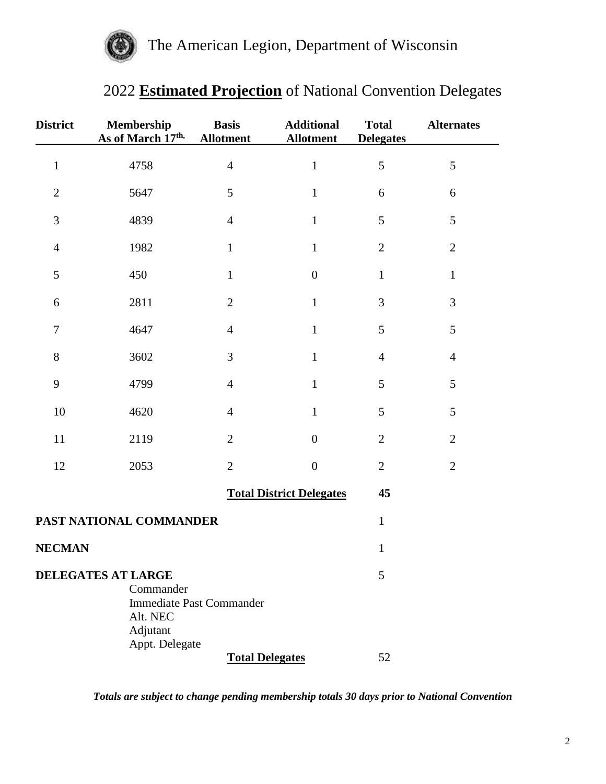

# 2022 **Estimated Projection** of National Convention Delegates

| <b>District</b>  | Membership<br>As of March 17th,                                                  | <b>Basis</b><br><b>Allotment</b> | <b>Additional</b><br><b>Allotment</b> | <b>Total</b><br><b>Delegates</b> | <b>Alternates</b> |
|------------------|----------------------------------------------------------------------------------|----------------------------------|---------------------------------------|----------------------------------|-------------------|
| $\mathbf{1}$     | 4758                                                                             | $\overline{4}$                   | $\,1$                                 | 5                                | 5                 |
| $\sqrt{2}$       | 5647                                                                             | 5                                | $\mathbf{1}$                          | 6                                | 6                 |
| $\mathfrak{Z}$   | 4839                                                                             | $\overline{4}$                   | $\mathbf{1}$                          | 5                                | 5                 |
| $\overline{4}$   | 1982                                                                             | $\mathbf{1}$                     | $\mathbf{1}$                          | $\overline{2}$                   | $\overline{2}$    |
| 5                | 450                                                                              | $\mathbf{1}$                     | $\boldsymbol{0}$                      | $\mathbf{1}$                     | $\mathbf{1}$      |
| 6                | 2811                                                                             | $\overline{2}$                   | $\mathbf{1}$                          | $\mathfrak{Z}$                   | 3                 |
| $\boldsymbol{7}$ | 4647                                                                             | $\overline{4}$                   | $\mathbf{1}$                          | 5                                | 5                 |
| 8                | 3602                                                                             | 3                                | $\mathbf{1}$                          | $\overline{4}$                   | $\overline{4}$    |
| 9                | 4799                                                                             | $\overline{4}$                   | $\mathbf{1}$                          | 5                                | 5                 |
| 10               | 4620                                                                             | $\overline{4}$                   | $\mathbf{1}$                          | 5                                | 5                 |
| 11               | 2119                                                                             | $\overline{2}$                   | $\overline{0}$                        | $\mathbf{2}$                     | $\mathbf{2}$      |
| 12               | 2053                                                                             | $\overline{2}$                   | $\boldsymbol{0}$                      | $\mathbf{2}$                     | $\overline{2}$    |
|                  |                                                                                  |                                  | <b>Total District Delegates</b>       | 45                               |                   |
|                  | PAST NATIONAL COMMANDER                                                          |                                  |                                       | $\mathbf{1}$                     |                   |
| <b>NECMAN</b>    |                                                                                  |                                  |                                       | $1\,$                            |                   |
|                  | <b>DELEGATES AT LARGE</b><br>Commander<br>Alt. NEC<br>Adjutant<br>Appt. Delegate | <b>Immediate Past Commander</b>  |                                       | 5                                |                   |
|                  |                                                                                  | <b>Total Delegates</b>           |                                       | 52                               |                   |

*Totals are subject to change pending membership totals 30 days prior to National Convention*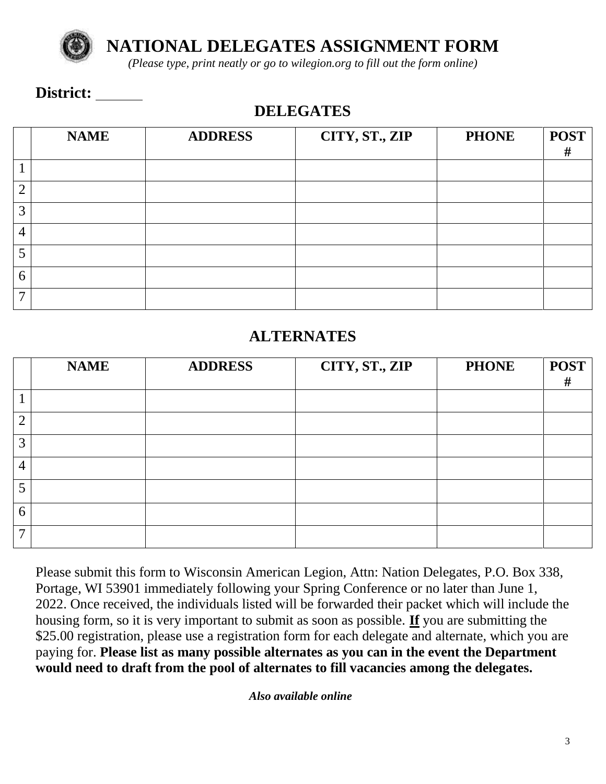

**NATIONAL DELEGATES ASSIGNMENT FORM**

*(Please type, print neatly or go to wilegion.org to fill out the form online)*

#### District:

### **DELEGATES**

|                 | <b>NAME</b> | <b>ADDRESS</b> | CITY, ST., ZIP | <b>PHONE</b> | <b>POST</b><br># |
|-----------------|-------------|----------------|----------------|--------------|------------------|
|                 |             |                |                |              |                  |
| ി               |             |                |                |              |                  |
| 3               |             |                |                |              |                  |
| $\overline{4}$  |             |                |                |              |                  |
|                 |             |                |                |              |                  |
| 6               |             |                |                |              |                  |
| $\mathbf{\tau}$ |             |                |                |              |                  |

#### **ALTERNATES**

|                | <b>NAME</b> | <b>ADDRESS</b> | CITY, ST., ZIP | <b>PHONE</b> | <b>POST</b><br># |
|----------------|-------------|----------------|----------------|--------------|------------------|
|                |             |                |                |              |                  |
| ി              |             |                |                |              |                  |
| 3              |             |                |                |              |                  |
| $\overline{4}$ |             |                |                |              |                  |
|                |             |                |                |              |                  |
| 6              |             |                |                |              |                  |
| ⇁              |             |                |                |              |                  |

Please submit this form to Wisconsin American Legion, Attn: Nation Delegates, P.O. Box 338, Portage, WI 53901 immediately following your Spring Conference or no later than June 1, 2022. Once received, the individuals listed will be forwarded their packet which will include the housing form, so it is very important to submit as soon as possible. **If** you are submitting the \$25.00 registration, please use a registration form for each delegate and alternate, which you are paying for. **Please list as many possible alternates as you can in the event the Department would need to draft from the pool of alternates to fill vacancies among the delegates.**

*Also available online*